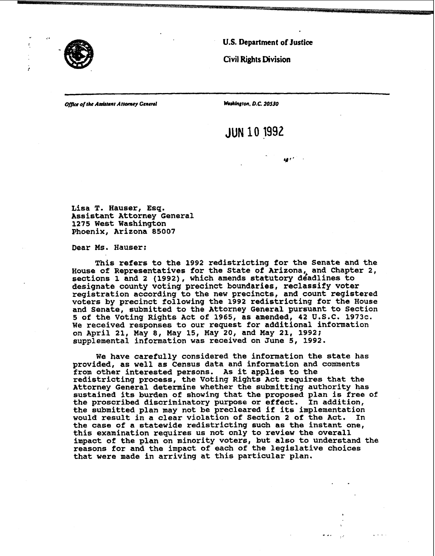

 $\hat{\mathcal{L}}$ 

**U.S. Department of Justice** 

**CivilRights Division** 

**of** *the* **Aasiitsnt Attarnry General hhlngton. D.C. 20530** 

**JUN 10 1992** 

unité.

**Lisa 1. Hauser, Esq. Assistant Attorney General 1275 West Washington** Phoenix, Arizona 85007

**Dear Ms. Hauser:** 

**This refers to the 1992 redistricting for the Senate and the House of Representatives for the State of Arizona,, and Chapter 2, sections 1 and 2 (1992), which amends statutory deadlines to designate county voting precinct boundaries, reclassify voter registration according to the new precincts, and count registered voters by precinct following the 1992 redistricting for the House and Senate, submitted to the Attorney General pursuant to Section 5 of the Voting Rights Act of 1965, as amended, 42 U.S.C. 1973c. We received responses to our request for additional information on April 21, May 8, May 15, May 20, and May 21, 1992; supplemental information was received on June 5, 1992.** 

**We have carefully considered the information the state has provided, as well as Census data and infomation and comments from other interested persons. As it applies to the redistricting process, the Voting Rights Act requires that the Attorney General determine whether the submitting authority has sustained its burden of showing that the proposed plan is free of the proscribed discriminatory purpose or effect. In addition, the submitted plan may not be precleared if its implementation would result in a clear violation of Section 2 of the Act. In the case of a statewide redistricting such as the instant one, this examination requires us not only to review the overall impact of the plan on minority voters, but also to understand the reasons for and the impact of each of the legislative choices that were made in arriving at this particular plan.**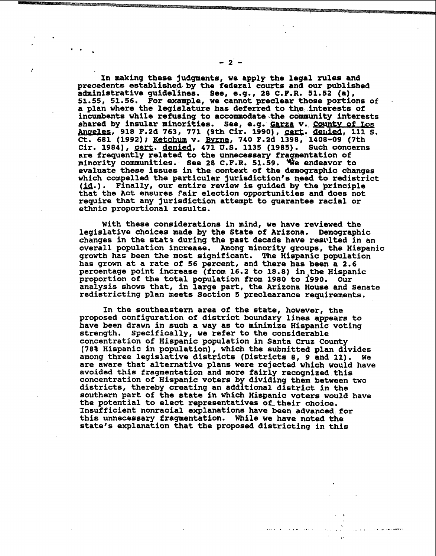**In making these judgments, we apply the legal rules and precedents established- by the federal courts and our published administrative guidelines. See, e.g., 28 C.P.R. 51.52 (a),**  51.55, 51.56. For example, we cannot preclear those portions of **a** plan where the legislature has deferred to the interests of incumbents while refusing to accommodate the community interests 51.55, 51.56. For example, we cannot preclear those portions of<br>a plan where the legislature has deferred to the interests of<br>incumbents while refusing to accommodate the community interests<br>shared by insular minorities. S a plan where the legislature has deferred to the interests of incumbents while refusing to accommodate the community interests shared by insular minorities. See, e.g. **Garza v. County of Los** Cir. 1984), cert. denied, 471 U.S. 1135 (1985). Such concerns are frequently related to the unnecessary fragmentation of minority communities. See 28 C.F.R. 51.59. <sup>'We</sup> endeavor to **evaluate these issues in the context of the demographic changes which compelled the particular jurisdiction's need to redistrict (u.).Finally, our entire review is guided by the principle**  that the Act ensures fair election opportunities and does not **require that any jurisdiction attempt to guarantee racial or ethnic pxoportional results.** 

**With these considerations in mind, we have reviewed the legislative choices made by the State of Arizona. Demographic** changes in the state during the past decade have resulted in an **overall population increase. Among minority groups, the Hispanic growth has been the most significant. The Hispanic population has grown at a rate of 56 percent, and there has been a 2.6 percentage point increase (from 16.2 to 18.8) in the Hispanic proportion of the total population from 1980 to 1990. Our analysis shows that, in large part, the Arizona House and Senate redistricting plan meets Section 5 preclearance requirements.** 

**In the southeastern area of the state, however, the proposed configuration of district boundary lines appears to have been drawn in such a way as to minimize Hispanic voting strength. Specifically, we refer to the considerable concentration of Hispanic population in Santa Cruz County (78% Hispanic in population), which the submitted plan divides among three legislative districts (Districts 8, 9 and 11). We are aware that alternative plans were rejected which would have avoided this fragmentation and more fairly recognized this concentration of Hispanic voters by dividing them between two districts, thereby creating an additional district in the southern part of the state in which Hispanic voters would have** the potential to elect representatives of their choice. Insufficient nonracial explanations have been advanced for this unnecessary fragmentation. While we have noted the **state's explanation that the proposed districting in this** 

المناطق التعلويات التعاطيفية